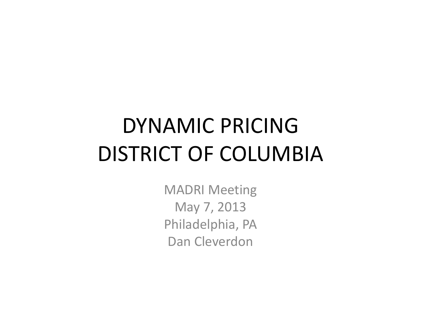# DYNAMIC PRICINGDISTRICT OF COLUMBIA

MADRI Meeting May 7, 2013 Philadelphia, PA Dan Cleverdon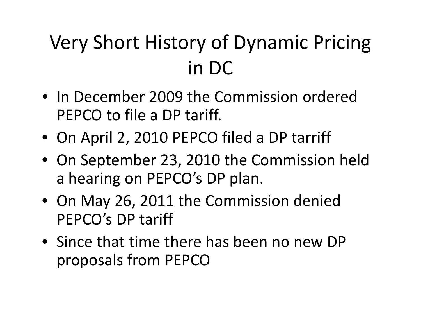### Very Short History of Dynamic Pricing in DC

- In December 2009 the Commission ordered PEPCO to file <sup>a</sup> DP tariff.
- On April 2, 2010 PEPCO filed <sup>a</sup> DP tarriff
- On September 23, 2010 the Commission held a hearing on PEPCO's DP plan.
- On May 26, 2011 the Commission denied PEPCO's DP tariff
- Since that time there has been no new DP proposals from PEPCO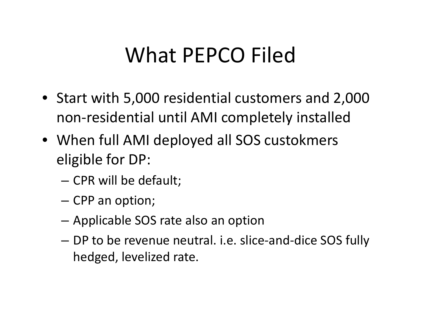## What PEPCO Filed

- Start with 5,000 residential customers and 2,000 non‐residential until AMI completely installed
- When full AMI deployed all SOS custokmers eligible for DP:
	- –— CPR will be default;
	- – $-$  CPP an option;
	- –Applicable SOS rate also an option
	- – DP to be revenue neutral. i.e. slice‐and‐dice SOS fully hedged, levelized rate.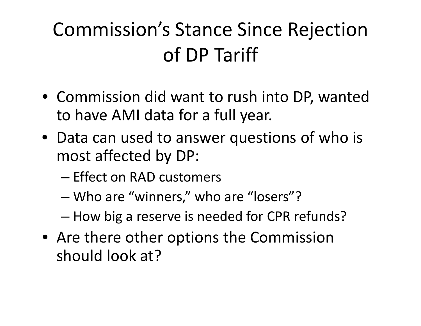#### Commission's Stance Since Rejection of DP Tariff

- Commission did want to rush into DP, wanted to have AMI data for <sup>a</sup> full year.
- Data can used to answer questions of who is most affected by DP:
	- Effect on RAD customers
	- –Who are "winners," who are "losers"?
	- How big <sup>a</sup> reserve is needed for CPR refunds?
- Are there other options the Commission should look at?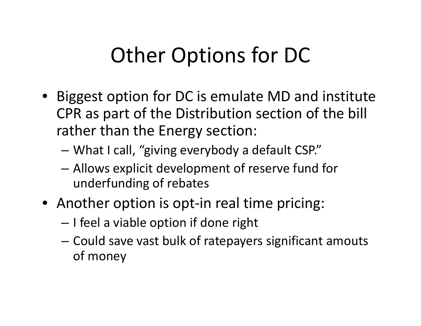## Other Options for DC

- Biggest option for DC is emulate MD and institute CPR as part of the Distribution section of the bill rather than the Energy section:
	- –What I call, "giving everybody <sup>a</sup> default CSP."
	- – Allows explicit development of reserve fund for underfunding of rebates
- Another option is opt-in real time pricing:
	- – $-$  I feel a viable option if done right
	- – Could save vast bulk of ratepayers significant amouts of money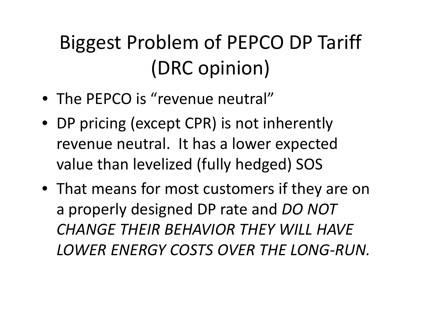## Biggest Problem of PEPCO DP Tariff (DRC opinion)

- The PEPCO is "revenue neutral"
- DP pricing (except CPR) is not inherently revenue neutral. It has <sup>a</sup> lower expected value than levelized (fully hedged) SOS
- That means for most customers if they are on a properly designed DP rate and *DO NOT CHANGE THEIR BEHAVIOR THEY WILL HAVE LOWER ENERGY COSTS OVER THE LONG‐RUN.*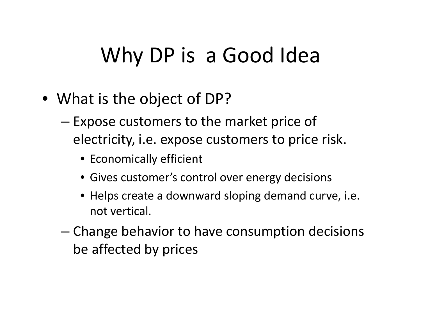## Why DP is <sup>a</sup> Good Idea

- What is the object of DP?
	- – $-$  Expose customers to the market price of electricity, i.e. expose customers to price risk.
		- Economically efficient
		- Gives customer's control over energy decisions
		- Helps create <sup>a</sup> downward sloping demand curve, i.e. not vertical.
	- – Change behavior to have consumption decisions be affected by prices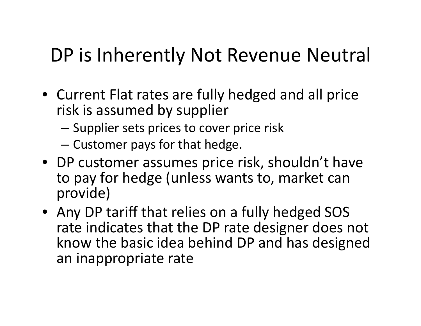#### DP is Inherently Not Revenue Neutral

- Current Flat rates are fully hedged and all price risk is assumed by supplier
	- – $-$  Supplier sets prices to cover price risk
	- – $-$  Customer pays for that hedge.
- DP customer assumes price risk, shouldn't have to pay for hedge (unless wants to, market can provide)
- Any DP tariff that relies on <sup>a</sup> fully hedged SOS rate indicates that the DP rate designer does not know the basic idea behind DP and has designed an inappropriate rate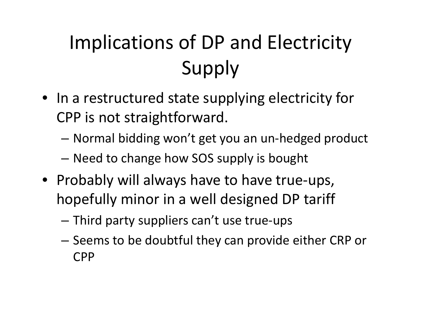## Implications of DP and Electricity Supply

- In <sup>a</sup> restructured state supplying electricity for CPP is not straightforward.
	- –Normal bidding won't get you an un‐hedged product
	- –Need to change how SOS supply is bought
- Probably will always have to have true‐ups, hopefully minor in <sup>a</sup> well designed DP tariff
	- –Third party suppliers can't use true‐ups
	- – $-$  Seems to be doubtful they can provide either CRP or CPP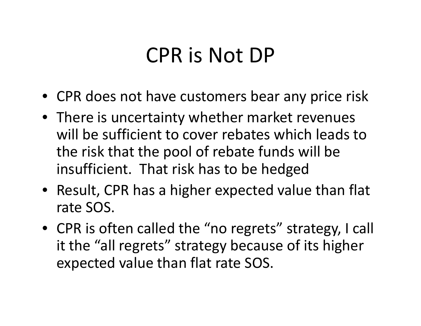#### CPR is Not DP

- CPR does not have customers bear any price risk
- There is uncertainty whether market revenues will be sufficient to cover rebates which leads to the risk that the pool of rebate funds will be insufficient. That risk has to be hedged
- Result, CPR has <sup>a</sup> higher expected value than flat rate SOS.
- CPR is often called the "no regrets" strategy, I call it the "all regrets" strategy because of its higher expected value than flat rate SOS.